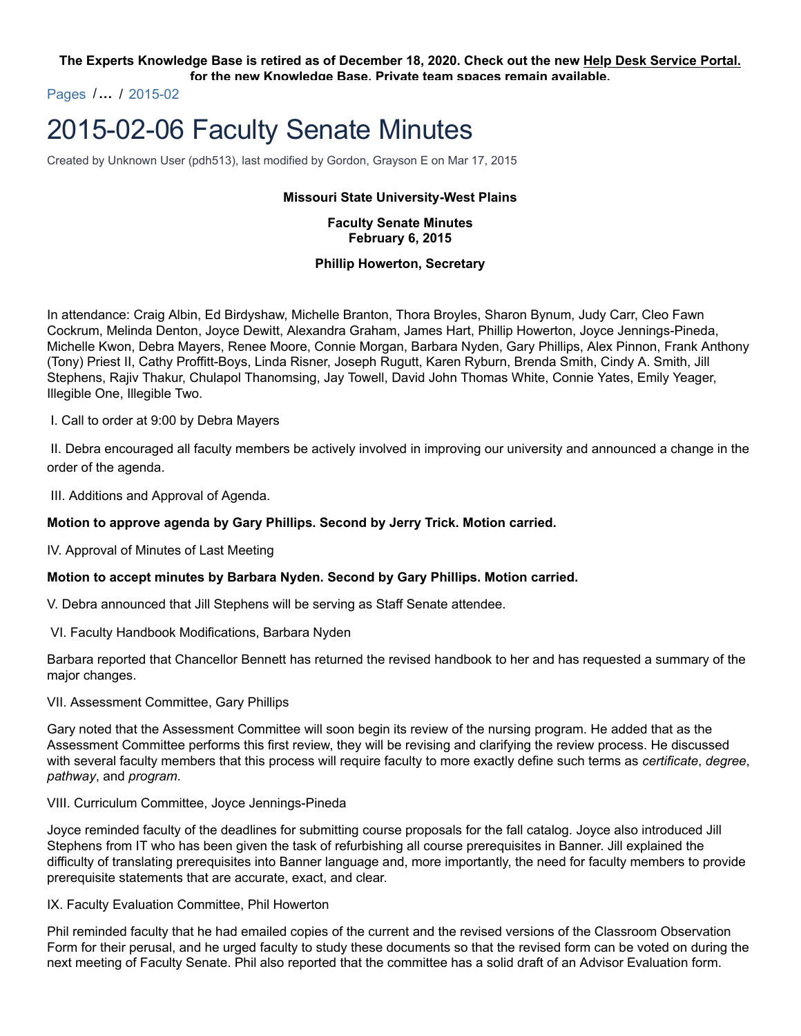#### **The Experts Knowledge Base is retired as of December 18, 2020. Check out the new Help Desk Service Portal. for the new Knowledge Base. Private team spaces remain available.**

Pages /**…** / 2015-02

# 2015-02-06 Faculty Senate Minutes

Created by Unknown User (pdh513), last modified by Gordon, Grayson E on Mar 17, 2015

#### **Missouri State University-West Plains**

## **Faculty Senate Minutes February 6, 2015**

## **Phillip Howerton, Secretary**

In attendance: Craig Albin, Ed Birdyshaw, Michelle Branton, Thora Broyles, Sharon Bynum, Judy Carr, Cleo Fawn Cockrum, Melinda Denton, Joyce Dewitt, Alexandra Graham, James Hart, Phillip Howerton, Joyce Jennings-Pineda, Michelle Kwon, Debra Mayers, Renee Moore, Connie Morgan, Barbara Nyden, Gary Phillips, Alex Pinnon, Frank Anthony (Tony) Priest II, Cathy Proffitt-Boys, Linda Risner, Joseph Rugutt, Karen Ryburn, Brenda Smith, Cindy A. Smith, Jill Stephens, Rajiv Thakur, Chulapol Thanomsing, Jay Towell, David John Thomas White, Connie Yates, Emily Yeager, Illegible One, Illegible Two.

I. Call to order at 9:00 by Debra Mayers

II. Debra encouraged all faculty members be actively involved in improving our university and announced a change in the order of the agenda.

III. Additions and Approval of Agenda.

## **Motion to approve agenda by Gary Phillips. Second by Jerry Trick. Motion carried.**

IV. Approval of Minutes of Last Meeting

#### **Motion to accept minutes by Barbara Nyden. Second by Gary Phillips. Motion carried.**

V. Debra announced that Jill Stephens will be serving as Staff Senate attendee.

VI. Faculty Handbook Modifications, Barbara Nyden

Barbara reported that Chancellor Bennett has returned the revised handbook to her and has requested a summary of the major changes.

VII. Assessment Committee, Gary Phillips

Gary noted that the Assessment Committee will soon begin its review of the nursing program. He added that as the Assessment Committee performs this first review, they will be revising and clarifying the review process. He discussed with several faculty members that this process will require faculty to more exactly define such terms as *certificate*, *degree*, *pathway*, and *program*.

#### VIII. Curriculum Committee, Joyce Jennings-Pineda

Joyce reminded faculty of the deadlines for submitting course proposals for the fall catalog. Joyce also introduced Jill Stephens from IT who has been given the task of refurbishing all course prerequisites in Banner. Jill explained the difficulty of translating prerequisites into Banner language and, more importantly, the need for faculty members to provide prerequisite statements that are accurate, exact, and clear.

#### IX. Faculty Evaluation Committee, Phil Howerton

Phil reminded faculty that he had emailed copies of the current and the revised versions of the Classroom Observation Form for their perusal, and he urged faculty to study these documents so that the revised form can be voted on during the next meeting of Faculty Senate. Phil also reported that the committee has a solid draft of an Advisor Evaluation form.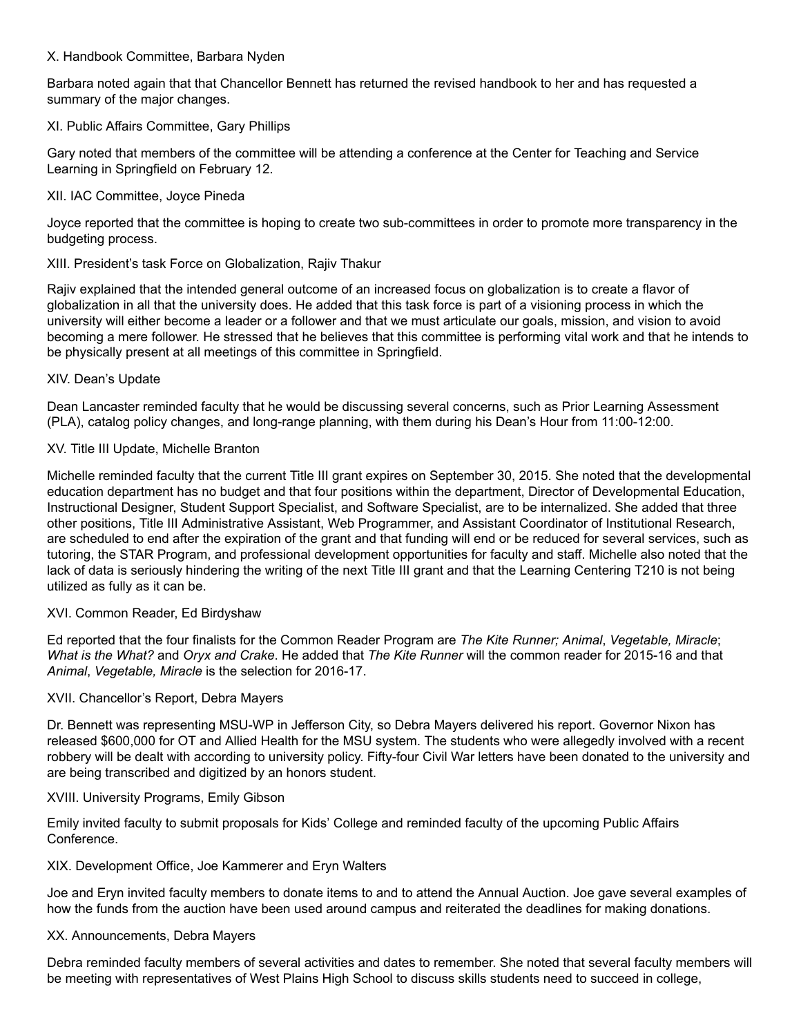## X. Handbook Committee, Barbara Nyden

Barbara noted again that that Chancellor Bennett has returned the revised handbook to her and has requested a summary of the major changes.

#### XI. Public Affairs Committee, Gary Phillips

Gary noted that members of the committee will be attending a conference at the Center for Teaching and Service Learning in Springfield on February 12.

## XII. IAC Committee, Joyce Pineda

Joyce reported that the committee is hoping to create two sub-committees in order to promote more transparency in the budgeting process.

## XIII. President's task Force on Globalization, Rajiv Thakur

Rajiv explained that the intended general outcome of an increased focus on globalization is to create a flavor of globalization in all that the university does. He added that this task force is part of a visioning process in which the university will either become a leader or a follower and that we must articulate our goals, mission, and vision to avoid becoming a mere follower. He stressed that he believes that this committee is performing vital work and that he intends to be physically present at all meetings of this committee in Springfield.

## XIV. Dean's Update

Dean Lancaster reminded faculty that he would be discussing several concerns, such as Prior Learning Assessment (PLA), catalog policy changes, and long-range planning, with them during his Dean's Hour from 11:00-12:00.

## XV. Title III Update, Michelle Branton

Michelle reminded faculty that the current Title III grant expires on September 30, 2015. She noted that the developmental education department has no budget and that four positions within the department, Director of Developmental Education, Instructional Designer, Student Support Specialist, and Software Specialist, are to be internalized. She added that three other positions, Title III Administrative Assistant, Web Programmer, and Assistant Coordinator of Institutional Research, are scheduled to end after the expiration of the grant and that funding will end or be reduced for several services, such as tutoring, the STAR Program, and professional development opportunities for faculty and staff. Michelle also noted that the lack of data is seriously hindering the writing of the next Title III grant and that the Learning Centering T210 is not being utilized as fully as it can be.

# XVI. Common Reader, Ed Birdyshaw

Ed reported that the four finalists for the Common Reader Program are *The Kite Runner; Animal*, *Vegetable, Miracle*; *What is the What?* and *Oryx and Crake*. He added that *The Kite Runner* will the common reader for 2015-16 and that *Animal*, *Vegetable, Miracle* is the selection for 2016-17.

#### XVII. Chancellor's Report, Debra Mayers

Dr. Bennett was representing MSU-WP in Jefferson City, so Debra Mayers delivered his report. Governor Nixon has released \$600,000 for OT and Allied Health for the MSU system. The students who were allegedly involved with a recent robbery will be dealt with according to university policy. Fifty-four Civil War letters have been donated to the university and are being transcribed and digitized by an honors student.

## XVIII. University Programs, Emily Gibson

Emily invited faculty to submit proposals for Kids' College and reminded faculty of the upcoming Public Affairs Conference.

# XIX. Development Office, Joe Kammerer and Eryn Walters

Joe and Eryn invited faculty members to donate items to and to attend the Annual Auction. Joe gave several examples of how the funds from the auction have been used around campus and reiterated the deadlines for making donations.

#### XX. Announcements, Debra Mayers

Debra reminded faculty members of several activities and dates to remember. She noted that several faculty members will be meeting with representatives of West Plains High School to discuss skills students need to succeed in college,